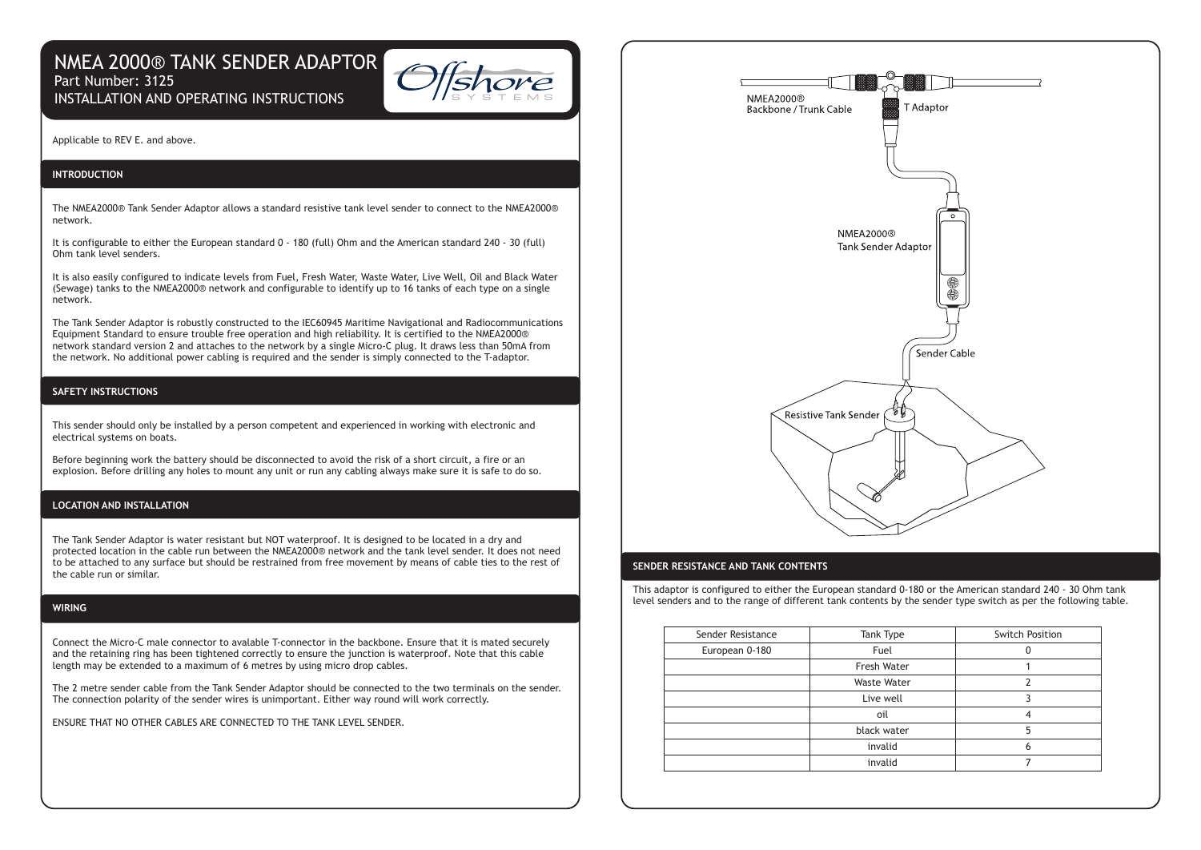# NMEA 2000® TANK SENDER ADAPTOR Part Number: 3125 INSTALLATION AND OPERATING INSTRUCTIONS



Applicable to REV E. and above.

# **INTRODUCTION**

The NMEA2000® Tank Sender Adaptor allows a standard resistive tank level sender to connect to the NMEA2000® network.

It is configurable to either the European standard 0 - 180 (full) Ohm and the American standard 240 - 30 (full) Ohm tank level senders.

It is also easily configured to indicate levels from Fuel, Fresh Water, Waste Water, Live Well, Oil and Black Water (Sewage) tanks to the NMEA2000® network and configurable to identify up to 16 tanks of each type on a single network.

The Tank Sender Adaptor is robustly constructed to the IEC60945 Maritime Navigational and Radiocommunications Equipment Standard to ensure trouble free operation and high reliability. It is certified to the NMEA2000® network standard version 2 and attaches to the network by a single Micro-C plug. It draws less than 50mA from the network. No additional power cabling is required and the sender is simply connected to the T-adaptor.

# **SAFETY INSTRUCTIONS**

This sender should only be installed by a person competent and experienced in working with electronic and electrical systems on boats.

Before beginning work the battery should be disconnected to avoid the risk of a short circuit, a fire or an explosion. Before drilling any holes to mount any unit or run any cabling always make sure it is safe to do so.

#### **LOCATION AND INSTALLATION**

The Tank Sender Adaptor is water resistant but NOT waterproof. It is designed to be located in a dry and protected location in the cable run between the NMEA2000® network and the tank level sender. It does not need to be attached to any surface but should be restrained from free movement by means of cable ties to the rest of the cable run or similar.

#### **WIRING**

Connect the Micro-C male connector to avalable T-connector in the backbone. Ensure that it is mated securely and the retaining ring has been tightened correctly to ensure the junction is waterproof. Note that this cable length may be extended to a maximum of 6 metres by using micro drop cables.

The 2 metre sender cable from the Tank Sender Adaptor should be connected to the two terminals on the sender. The connection polarity of the sender wires is unimportant. Either way round will work correctly.

ENSURE THAT NO OTHER CABLES ARE CONNECTED TO THE TANK LEVEL SENDER.



## **SENDER RESISTANCE AND TANK CONTENTS**

This adaptor is configured to either the European standard 0-180 or the American standard 240 - 30 Ohm tank level senders and to the range of different tank contents by the sender type switch as per the following table.

| Sender Resistance | Tank Type          | <b>Switch Position</b> |
|-------------------|--------------------|------------------------|
| European 0-180    | Fuel               |                        |
|                   | Fresh Water        |                        |
|                   | <b>Waste Water</b> |                        |
|                   | Live well          |                        |
|                   | oil                |                        |
|                   | black water        |                        |
|                   | invalid            |                        |
|                   | invalid            |                        |